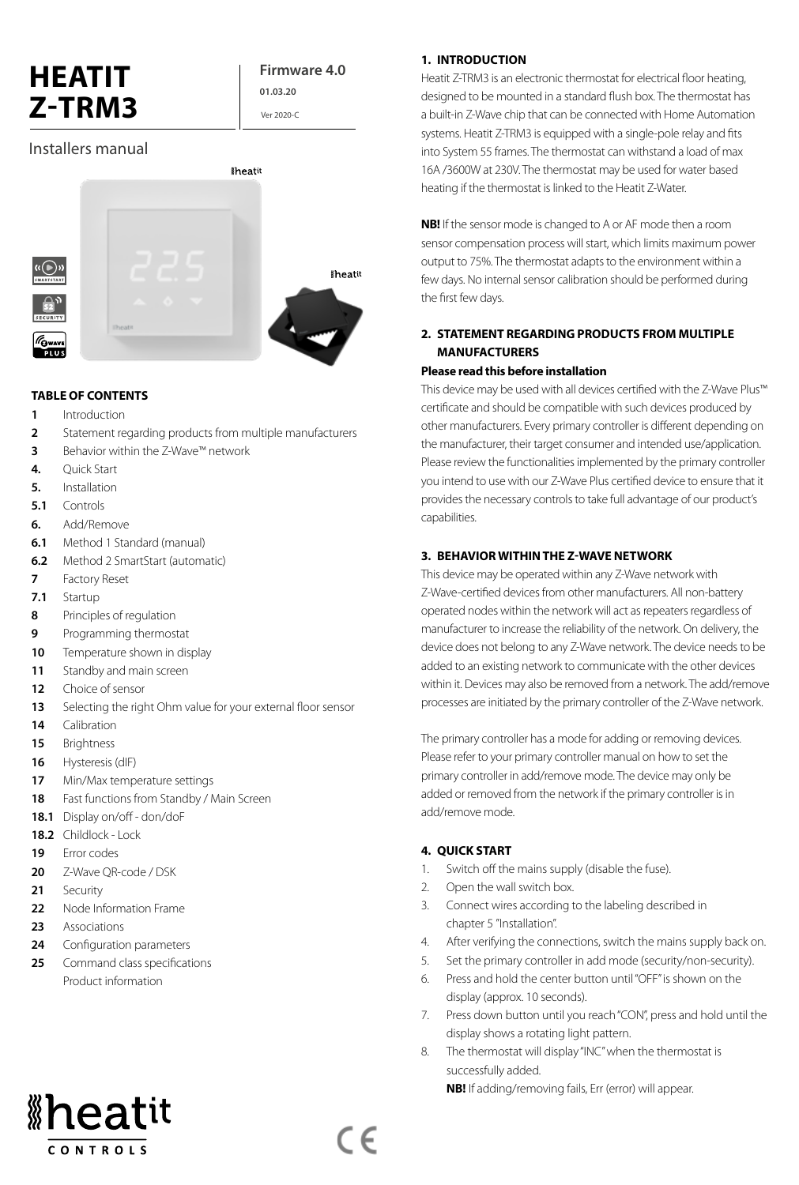# **HEATIT Z-TRM3**

#### **Firmware 4.0 01.03.20**

Ver 2020-C

## Installers manual



#### **TABLE OF CONTENTS**

- **1** Introduction
- **2** Statement regarding products from multiple manufacturers
- **3** Behavior within the Z-Wave™ network
- **4.** Quick Start
- **5.** Installation
- **5.1** Controls
- **6.** Add/Remove
- **6.1** Method 1 Standard (manual)
- **6.2** Method 2 SmartStart (automatic)
- **7** Factory Reset
- **7.1** Startup
- **8** Principles of regulation
- **9** Programming thermostat
- **10** Temperature shown in display
- 11 Standby and main screen
- **12** Choice of sensor
- **13** Selecting the right Ohm value for your external floor sensor
- **14** Calibration
- **15** Brightness
- **16** Hysteresis (dIF)
- **17** Min/Max temperature settings
- **18** Fast functions from Standby / Main Screen
- **18.1** Display on/off don/doF
- **18.2** Childlock Lock
- **19** Error codes
- **20** Z-Wave QR-code / DSK
- 21 **Security**
- **22** Node Information Frame
- **23** Associations
- **24** Configuration parameters
- 25 Command class specifications Product information

# *\*heatit*

**CONTROLS** 

#### **1. INTRODUCTION**

Heatit Z-TRM3 is an electronic thermostat for electrical floor heating, designed to be mounted in a standard flush box. The thermostat has a built-in Z-Wave chip that can be connected with Home Automation systems. Heatit Z-TRM3 is equipped with a single-pole relay and fits into System 55 frames. The thermostat can withstand a load of max 16A /3600W at 230V. The thermostat may be used for water based heating if the thermostat is linked to the Heatit Z-Water.

**NB!** If the sensor mode is changed to A or AF mode then a room sensor compensation process will start, which limits maximum power output to 75%. The thermostat adapts to the environment within a few days. No internal sensor calibration should be performed during the first few days.

#### **2. STATEMENT REGARDING PRODUCTS FROM MULTIPLE MANUFACTURERS**

#### **Please read this before installation**

This device may be used with all devices certified with the Z-Wave Plus™ certificate and should be compatible with such devices produced by other manufacturers. Every primary controller is different depending on the manufacturer, their target consumer and intended use/application. Please review the functionalities implemented by the primary controller you intend to use with our Z-Wave Plus certified device to ensure that it provides the necessary controls to take full advantage of our product's capabilities.

#### **3. BEHAVIOR WITHIN THE Z-WAVE NETWORK**

This device may be operated within any Z-Wave network with Z-Wave-certified devices from other manufacturers. All non-battery operated nodes within the network will act as repeaters regardless of manufacturer to increase the reliability of the network. On delivery, the device does not belong to any Z-Wave network. The device needs to be added to an existing network to communicate with the other devices within it. Devices may also be removed from a network. The add/remove processes are initiated by the primary controller of the Z-Wave network.

The primary controller has a mode for adding or removing devices. Please refer to your primary controller manual on how to set the primary controller in add/remove mode. The device may only be added or removed from the network if the primary controller is in add/remove mode.

#### **4. QUICK START**

 $\epsilon$ 

- 1. Switch off the mains supply (disable the fuse).
- 2. Open the wall switch box.
- 3. Connect wires according to the labeling described in chapter 5 "Installation".
- 4. After verifying the connections, switch the mains supply back on.
- 5. Set the primary controller in add mode (security/non-security).
- 6. Press and hold the center button until "OFF" is shown on the display (approx. 10 seconds).
- 7. Press down button until you reach "CON", press and hold until the display shows a rotating light pattern.
- 8. The thermostat will display "INC" when the thermostat is successfully added.

**NB!** If adding/removing fails, Err (error) will appear.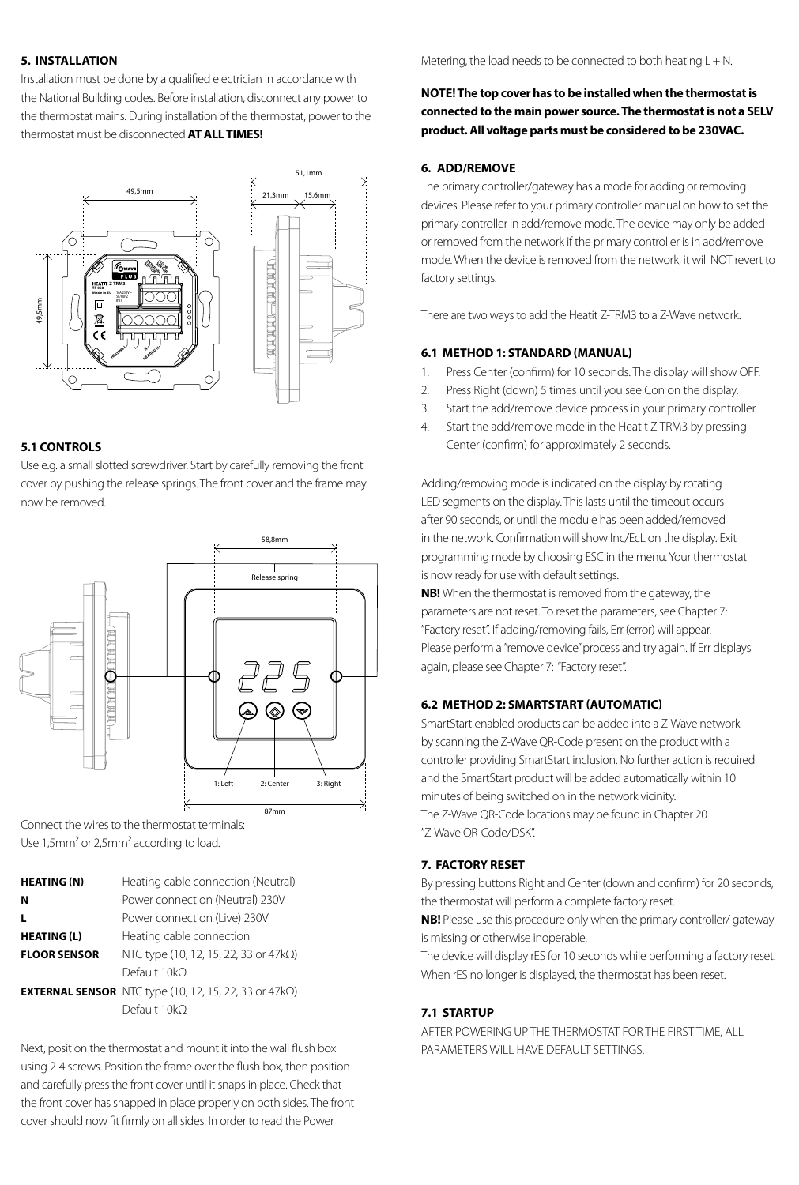#### **5. INSTALLATION**

Installation must be done by a qualified electrician in accordance with the National Building codes. Before installation, disconnect any power to the thermostat mains. During installation of the thermostat, power to the thermostat must be disconnected **AT ALL TIMES!**



#### **5.1 CONTROLS**

Use e.g. a small slotted screwdriver. Start by carefully removing the front cover by pushing the release springs. The front cover and the frame may now be removed.



Connect the wires to the thermostat terminals: Use 1,5mm² or 2,5mm² according to load.

| <b>HEATING (N)</b>  | Heating cable connection (Neutral)                                    |
|---------------------|-----------------------------------------------------------------------|
| N                   | Power connection (Neutral) 230V                                       |
| L                   | Power connection (Live) 230V                                          |
| <b>HEATING (L)</b>  | Heating cable connection                                              |
| <b>FLOOR SENSOR</b> | NTC type (10, 12, 15, 22, 33 or 47kΩ)                                 |
|                     | Default 10kO                                                          |
|                     | <b>EXTERNAL SENSOR</b> NTC type (10, 12, 15, 22, 33 or 47k $\Omega$ ) |
|                     | Default 10kO                                                          |

Next, position the thermostat and mount it into the wall flush box using 2-4 screws. Position the frame over the flush box, then position and carefully press the front cover until it snaps in place. Check that the front cover has snapped in place properly on both sides. The front cover should now fit firmly on all sides. In order to read the Power

Metering, the load needs to be connected to both heating  $L + N$ .

#### **NOTE! The top cover has to be installed when the thermostat is connected to the main power source. The thermostat is not a SELV product. All voltage parts must be considered to be 230VAC.**

#### **6. ADD/REMOVE**

The primary controller/gateway has a mode for adding or removing devices. Please refer to your primary controller manual on how to set the primary controller in add/remove mode. The device may only be added or removed from the network if the primary controller is in add/remove mode. When the device is removed from the network, it will NOT revert to factory settings.

There are two ways to add the Heatit Z-TRM3 to a Z-Wave network.

#### **6.1 METHOD 1: STANDARD (MANUAL)**

- 1. Press Center (confirm) for 10 seconds. The display will show OFF.
- 2. Press Right (down) 5 times until you see Con on the display.
- 3. Start the add/remove device process in your primary controller.
- 4. Start the add/remove mode in the Heatit Z-TRM3 by pressing Center (confirm) for approximately 2 seconds.

Adding/removing mode is indicated on the display by rotating LED segments on the display. This lasts until the timeout occurs after 90 seconds, or until the module has been added/removed in the network. Confirmation will show Inc/EcL on the display. Exit programming mode by choosing ESC in the menu. Your thermostat is now ready for use with default settings.

**NB!** When the thermostat is removed from the gateway, the parameters are not reset. To reset the parameters, see Chapter 7: "Factory reset". If adding/removing fails, Err (error) will appear. Please perform a "remove device" process and try again. If Err displays again, please see Chapter 7: "Factory reset".

#### **6.2 METHOD 2: SMARTSTART (AUTOMATIC)**

SmartStart enabled products can be added into a Z-Wave network by scanning the Z-Wave QR-Code present on the product with a controller providing SmartStart inclusion. No further action is required and the SmartStart product will be added automatically within 10 minutes of being switched on in the network vicinity. The Z-Wave QR-Code locations may be found in Chapter 20 "Z-Wave QR-Code/DSK".

#### **7. FACTORY RESET**

By pressing buttons Right and Center (down and confirm) for 20 seconds, the thermostat will perform a complete factory reset.

**NB!** Please use this procedure only when the primary controller/ gateway is missing or otherwise inoperable.

The device will display rES for 10 seconds while performing a factory reset. When rES no longer is displayed, the thermostat has been reset.

#### **7.1 STARTUP**

AFTER POWERING UP THE THERMOSTAT FOR THE FIRST TIME, ALL PARAMETERS WILL HAVE DEFAULT SETTINGS.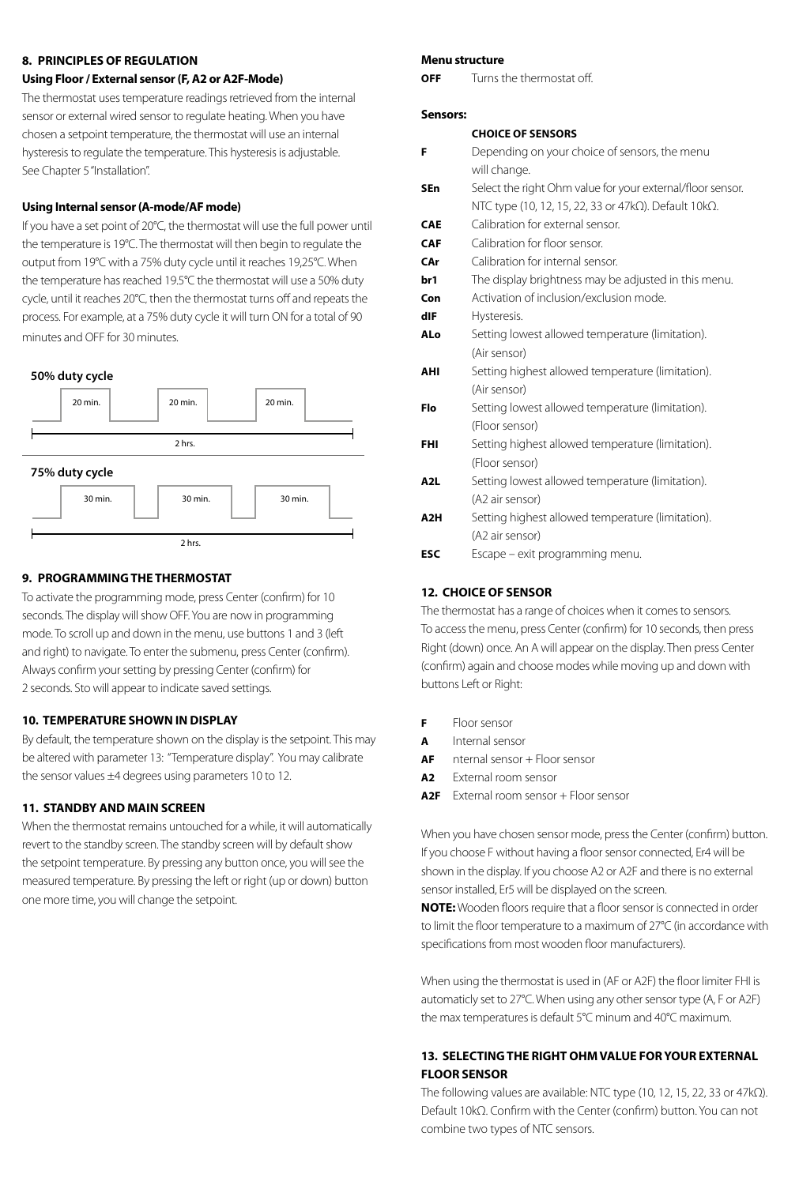#### **8. PRINCIPLES OF REGULATION**

#### **Using Floor / External sensor (F, A2 or A2F-Mode)**

The thermostat uses temperature readings retrieved from the internal sensor or external wired sensor to regulate heating. When you have chosen a setpoint temperature, the thermostat will use an internal hysteresis to regulate the temperature. This hysteresis is adjustable. See Chapter 5 "Installation".

#### **Using Internal sensor (A-mode/AF mode)**

If you have a set point of 20°C, the thermostat will use the full power until the temperature is 19°C. The thermostat will then begin to regulate the output from 19°C with a 75% duty cycle until it reaches 19,25°C. When the temperature has reached 19.5°C the thermostat will use a 50% duty cycle, until it reaches 20°C, then the thermostat turns off and repeats the process. For example, at a 75% duty cycle it will turn ON for a total of 90 minutes and OFF for 30 minutes.





#### **9. PROGRAMMING THE THERMOSTAT**

To activate the programming mode, press Center (confirm) for 10 seconds. The display will show OFF. You are now in programming mode. To scroll up and down in the menu, use buttons 1 and 3 (left and right) to navigate. To enter the submenu, press Center (confirm). Always confirm your setting by pressing Center (confirm) for 2 seconds. Sto will appear to indicate saved settings.

#### **10. TEMPERATURE SHOWN IN DISPLAY**

By default, the temperature shown on the display is the setpoint. This may be altered with parameter 13: "Temperature display". You may calibrate the sensor values ±4 degrees using parameters 10 to 12.

#### **11. STANDBY AND MAIN SCREEN**

When the thermostat remains untouched for a while, it will automatically revert to the standby screen. The standby screen will by default show the setpoint temperature. By pressing any button once, you will see the measured temperature. By pressing the left or right (up or down) button one more time, you will change the setpoint.

#### **Menu structure**

**OFF** Turns the thermostat off.

#### **Sensors:**

#### **CHOICE OF SENSORS**

| F                | Depending on your choice of sensors, the menu              |
|------------------|------------------------------------------------------------|
|                  | will change.                                               |
| <b>SEn</b>       | Select the right Ohm value for your external/floor sensor. |
|                  | NTC type (10, 12, 15, 22, 33 or 47kΩ). Default 10kΩ.       |
| <b>CAE</b>       | Calibration for external sensor.                           |
| <b>CAF</b>       | Calibration for floor sensor.                              |
| CAr              | Calibration for internal sensor.                           |
| br1              | The display brightness may be adjusted in this menu.       |
| Con              | Activation of inclusion/exclusion mode.                    |
| dIF              | Hysteresis.                                                |
| ALo              | Setting lowest allowed temperature (limitation).           |
|                  | (Air sensor)                                               |
| AHI              | Setting highest allowed temperature (limitation).          |
|                  | (Air sensor)                                               |
| Flo              | Setting lowest allowed temperature (limitation).           |
|                  | (Floor sensor)                                             |
| <b>FHI</b>       | Setting highest allowed temperature (limitation).          |
|                  | (Floor sensor)                                             |
| A <sub>2</sub> L | Setting lowest allowed temperature (limitation).           |
|                  | (A2 air sensor)                                            |
| A2H              | Setting highest allowed temperature (limitation).          |
|                  | (A2 air sensor)                                            |
| <b>ESC</b>       | Escape - exit programming menu.                            |
|                  |                                                            |
|                  |                                                            |

#### **12. CHOICE OF SENSOR**

The thermostat has a range of choices when it comes to sensors. To access the menu, press Center (confirm) for 10 seconds, then press Right (down) once. An A will appear on the display. Then press Center (confirm) again and choose modes while moving up and down with buttons Left or Right:

- **F** Floor sensor
- **A** Internal sensor
- **AF** nternal sensor + Floor sensor
- **A2** External room sensor
- **A2F** External room sensor + Floor sensor

When you have chosen sensor mode, press the Center (confirm) button. If you choose F without having a floor sensor connected, Er4 will be shown in the display. If you choose A2 or A2F and there is no external sensor installed, Er5 will be displayed on the screen.

**NOTE:** Wooden floors require that a floor sensor is connected in order to limit the floor temperature to a maximum of 27°C (in accordance with specifications from most wooden floor manufacturers).

When using the thermostat is used in (AF or A2F) the floor limiter FHI is automaticly set to 27°C. When using any other sensor type (A, F or A2F) the max temperatures is default 5°C minum and 40°C maximum.

#### **13. SELECTING THE RIGHT OHM VALUE FOR YOUR EXTERNAL FLOOR SENSOR**

The following values are available: NTC type (10, 12, 15, 22, 33 or 47kΩ). Default 10kΩ. Confirm with the Center (confirm) button. You can not combine two types of NTC sensors.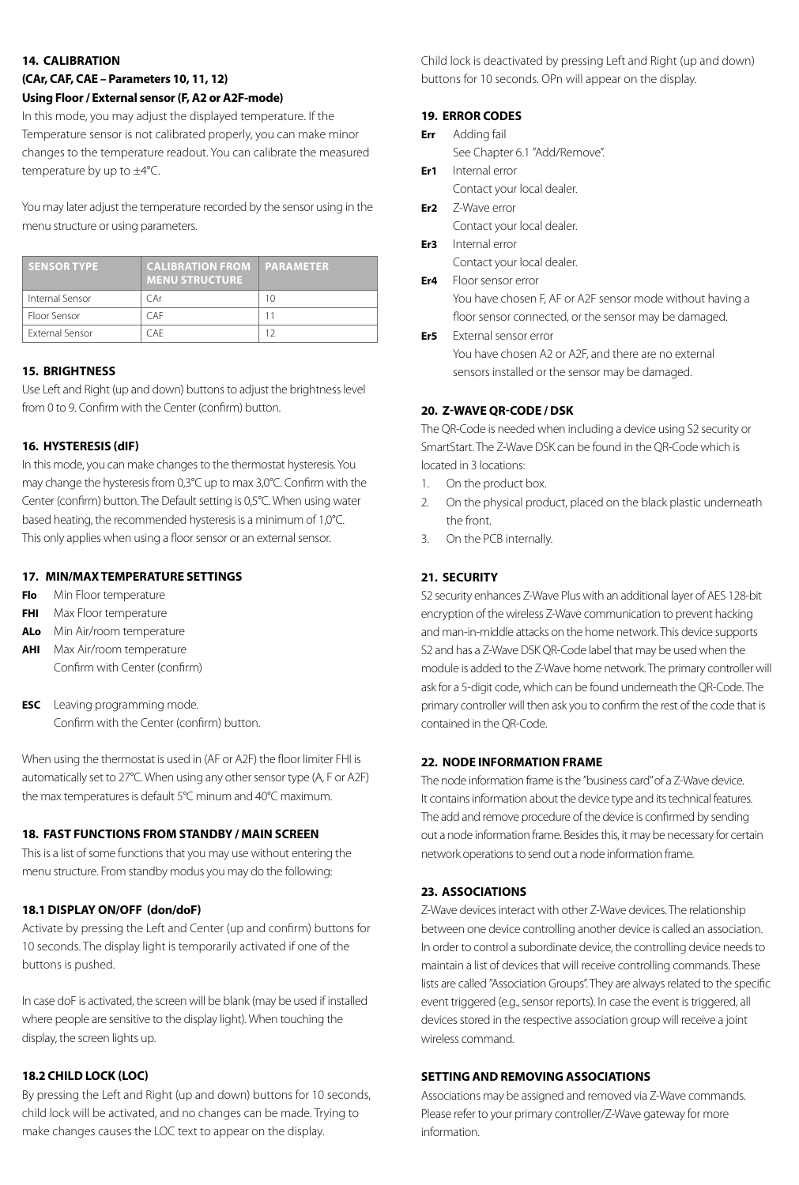#### **14. CALIBRATION**

#### **(CAr, CAF, CAE – Parameters 10, 11, 12) Using Floor / External sensor (F, A2 or A2F-mode)**

In this mode, you may adjust the displayed temperature. If the Temperature sensor is not calibrated properly, you can make minor changes to the temperature readout. You can calibrate the measured temperature by up to ±4°C.

You may later adjust the temperature recorded by the sensor using in the menu structure or using parameters.

| <b>SENSOR TYPE</b>     | <b>CALIBRATION FROM PARAMETER</b><br><b>MENU STRUCTURE</b> |    |
|------------------------|------------------------------------------------------------|----|
| Internal Sensor        | C Ar                                                       | 10 |
| Floor Sensor           | CAF                                                        | 11 |
| <b>External Sensor</b> | C A F                                                      | 12 |

#### **15. BRIGHTNESS**

Use Left and Right (up and down) buttons to adjust the brightness level from 0 to 9. Confirm with the Center (confirm) button.

#### **16. HYSTERESIS (dIF)**

In this mode, you can make changes to the thermostat hysteresis. You may change the hysteresis from 0,3°C up to max 3,0°C. Confirm with the Center (confirm) button. The Default setting is 0,5°C. When using water based heating, the recommended hysteresis is a minimum of 1,0°C. This only applies when using a floor sensor or an external sensor.

#### **17. MIN/MAX TEMPERATURE SETTINGS**

- **Flo** Min Floor temperature
- **FHI** Max Floor temperature
- **ALo** Min Air/room temperature
- **AHI** Max Air/room temperature Confirm with Center (confirm)
- **ESC** Leaving programming mode. Confirm with the Center (confirm) button.

When using the thermostat is used in (AF or A2F) the floor limiter FHI is automatically set to 27°C. When using any other sensor type (A, F or A2F) the max temperatures is default 5°C minum and 40°C maximum.

#### **18. FAST FUNCTIONS FROM STANDBY / MAIN SCREEN**

This is a list of some functions that you may use without entering the menu structure. From standby modus you may do the following:

#### **18.1 DISPLAY ON/OFF (don/doF)**

Activate by pressing the Left and Center (up and confirm) buttons for 10 seconds. The display light is temporarily activated if one of the buttons is pushed.

In case doF is activated, the screen will be blank (may be used if installed where people are sensitive to the display light). When touching the display, the screen lights up.

#### **18.2 CHILD LOCK (LOC)**

By pressing the Left and Right (up and down) buttons for 10 seconds, child lock will be activated, and no changes can be made. Trying to make changes causes the LOC text to appear on the display.

Child lock is deactivated by pressing Left and Right (up and down) buttons for 10 seconds. OPn will appear on the display.

#### **19. ERROR CODES**

- **Err** Adding fail See Chapter 6.1 "Add/Remove".
- **Er1** Internal error Contact your local dealer.
- **Er2** Z-Wave error Contact your local dealer.
- **Er3** Internal error Contact your local dealer.
- **Er4** Floor sensor error

You have chosen F, AF or A2F sensor mode without having a floor sensor connected, or the sensor may be damaged.

**Er5** External sensor error You have chosen A2 or A2F, and there are no external sensors installed or the sensor may be damaged.

#### **20. Z-WAVE QR-CODE / DSK**

The QR-Code is needed when including a device using S2 security or SmartStart. The Z-Wave DSK can be found in the QR-Code which is located in 3 locations:

- 1. On the product box.
- 2. On the physical product, placed on the black plastic underneath the front.
- 3. On the PCB internally.

#### **21. SECURITY**

S2 security enhances Z-Wave Plus with an additional layer of AES 128-bit encryption of the wireless Z-Wave communication to prevent hacking and man-in-middle attacks on the home network. This device supports S2 and has a Z-Wave DSK QR-Code label that may be used when the module is added to the Z-Wave home network. The primary controller will ask for a 5-digit code, which can be found underneath the QR-Code. The primary controller will then ask you to confirm the rest of the code that is contained in the QR-Code.

#### **22. NODE INFORMATION FRAME**

The node information frame is the "business card" of a Z-Wave device. It contains information about the device type and its technical features. The add and remove procedure of the device is confirmed by sending out a node information frame. Besides this, it may be necessary for certain network operations to send out a node information frame.

#### **23. ASSOCIATIONS**

Z-Wave devices interact with other Z-Wave devices. The relationship between one device controlling another device is called an association. In order to control a subordinate device, the controlling device needs to maintain a list of devices that will receive controlling commands. These lists are called "Association Groups". They are always related to the specific event triggered (e.g., sensor reports). In case the event is triggered, all devices stored in the respective association group will receive a joint wireless command.

#### **SETTING AND REMOVING ASSOCIATIONS**

Associations may be assigned and removed via Z-Wave commands. Please refer to your primary controller/Z-Wave gateway for more information.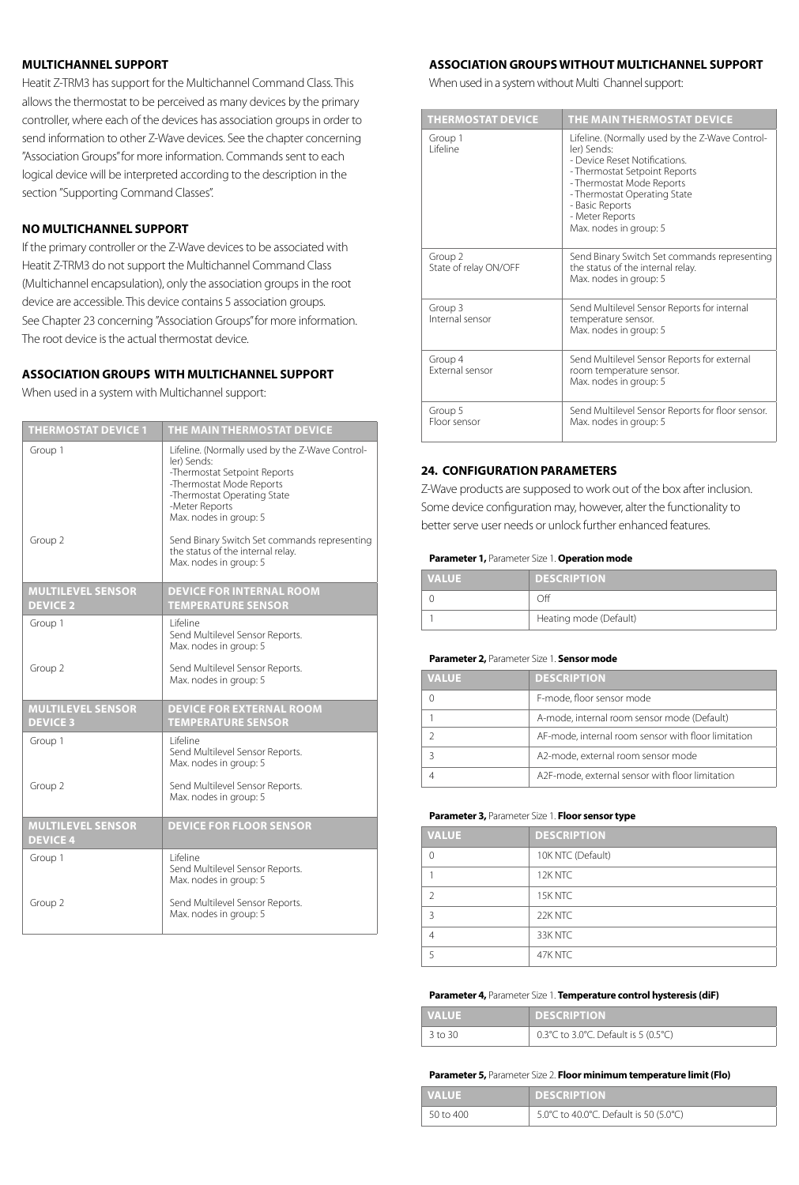#### **MULTICHANNEL SUPPORT**

Heatit Z-TRM3 has support for the Multichannel Command Class. This allows the thermostat to be perceived as many devices by the primary controller, where each of the devices has association groups in order to send information to other Z-Wave devices. See the chapter concerning "Association Groups" for more information. Commands sent to each logical device will be interpreted according to the description in the section "Supporting Command Classes".

#### **NO MULTICHANNEL SUPPORT**

If the primary controller or the Z-Wave devices to be associated with Heatit Z-TRM3 do not support the Multichannel Command Class (Multichannel encapsulation), only the association groups in the root device are accessible. This device contains 5 association groups. See Chapter 23 concerning "Association Groups" for more information. The root device is the actual thermostat device.

#### **ASSOCIATION GROUPS WITH MULTICHANNEL SUPPORT**

When used in a system with Multichannel support:

| <b>THERMOSTAT DEVICE 1</b>                  | THE MAIN THERMOSTAT DEVICE                                                                                                                                                                                                                            |
|---------------------------------------------|-------------------------------------------------------------------------------------------------------------------------------------------------------------------------------------------------------------------------------------------------------|
| Group 1<br>Group 2                          | Lifeline. (Normally used by the Z-Wave Control-<br>ler) Sends:<br>-Thermostat Setpoint Reports<br>-Thermostat Mode Reports<br>-Thermostat Operating State<br>-Meter Reports<br>Max. nodes in group: 5<br>Send Binary Switch Set commands representing |
|                                             | the status of the internal relay.<br>Max. nodes in group: 5                                                                                                                                                                                           |
| <b>MULTILEVEL SENSOR</b><br><b>DEVICE 2</b> | <b>DEVICE FOR INTERNAL ROOM</b><br><b>TEMPERATURE SENSOR</b>                                                                                                                                                                                          |
| Group 1                                     | I ifeline<br>Send Multilevel Sensor Reports.<br>Max. nodes in group: 5                                                                                                                                                                                |
| Group 2                                     | Send Multilevel Sensor Reports.<br>Max. nodes in group: 5                                                                                                                                                                                             |
| <b>MULTILEVEL SENSOR</b><br><b>DEVICE 3</b> | <b>DEVICE FOR EXTERNAL ROOM</b><br><b>TEMPERATURE SENSOR</b>                                                                                                                                                                                          |
| Group 1                                     | l ifeline<br>Send Multilevel Sensor Reports.<br>Max. nodes in group: 5                                                                                                                                                                                |
| Group 2                                     | Send Multilevel Sensor Reports.<br>Max. nodes in group: 5                                                                                                                                                                                             |
| <b>MULTILEVEL SENSOR</b><br><b>DEVICE 4</b> | <b>DEVICE FOR FLOOR SENSOR</b>                                                                                                                                                                                                                        |
| Group 1                                     | I ifeline<br>Send Multilevel Sensor Reports.<br>Max. nodes in group: 5                                                                                                                                                                                |
| Group 2                                     | Send Multilevel Sensor Reports.<br>Max. nodes in group: 5                                                                                                                                                                                             |

#### **ASSOCIATION GROUPS WITHOUT MULTICHANNEL SUPPORT**

When used in a system without Multi Channel support:

| <b>THERMOSTAT DEVICE</b>         | THE MAIN THERMOSTAT DEVICE                                                                                                                                                                                                                                    |
|----------------------------------|---------------------------------------------------------------------------------------------------------------------------------------------------------------------------------------------------------------------------------------------------------------|
| Group 1<br>I ifeline             | Lifeline. (Normally used by the Z-Wave Control-<br>ler) Sends:<br>- Device Reset Notifications.<br>- Thermostat Setpoint Reports<br>- Thermostat Mode Reports<br>- Thermostat Operating State<br>- Basic Reports<br>- Meter Reports<br>Max. nodes in group: 5 |
| Group 2<br>State of relay ON/OFF | Send Binary Switch Set commands representing<br>the status of the internal relay.<br>Max. nodes in group: 5                                                                                                                                                   |
| Group 3<br>Internal sensor       | Send Multilevel Sensor Reports for internal<br>temperature sensor.<br>Max. nodes in group: 5                                                                                                                                                                  |
| Group 4<br>External sensor       | Send Multilevel Sensor Reports for external<br>room temperature sensor.<br>Max. nodes in group: 5                                                                                                                                                             |
| Group 5<br>Floor sensor          | Send Multilevel Sensor Reports for floor sensor.<br>Max. nodes in group: 5                                                                                                                                                                                    |

#### **24. CONFIGURATION PARAMETERS**

Z-Wave products are supposed to work out of the box after inclusion. Some device configuration may, however, alter the functionality to better serve user needs or unlock further enhanced features.

#### **Parameter 1,** Parameter Size 1. **Operation mode**

| <b>VALUE</b> | <b>DESCRIPTION</b>     |
|--------------|------------------------|
|              | . )ff                  |
|              | Heating mode (Default) |

#### **Parameter 2,** Parameter Size 1. **Sensor mode**

| <b>VALUE</b> | <b>DESCRIPTION</b>                                  |
|--------------|-----------------------------------------------------|
|              | F-mode, floor sensor mode                           |
|              | A-mode, internal room sensor mode (Default)         |
|              | AF-mode, internal room sensor with floor limitation |
|              | A2-mode, external room sensor mode                  |
|              | A2F-mode, external sensor with floor limitation     |
|              |                                                     |

#### **Parameter 3,** Parameter Size 1. **Floor sensor type**

|  | <b>VALUE</b>   | <b>DESCRIPTION</b> |
|--|----------------|--------------------|
|  | $\Omega$       | 10K NTC (Default)  |
|  |                | 12K NTC            |
|  | $\mathcal{D}$  | 15K NTC            |
|  | $\overline{3}$ | 22K NTC            |
|  | $\Delta$       | 33K NTC            |
|  | 5              | 47K NTC            |

#### **Parameter 4,** Parameter Size 1. **Temperature control hysteresis (diF)**

| <b>VALUE</b> | <b>DESCRIPTION</b>                   |
|--------------|--------------------------------------|
| 3 to 30      | 0.3°C to 3.0°C. Default is 5 (0.5°C) |

#### **Parameter 5,** Parameter Size 2. **Floor minimum temperature limit (Flo)**

| <b>I VALUE</b> | <b>DESCRIPTION</b>                     |
|----------------|----------------------------------------|
| 50 to 400      | 5.0°C to 40.0°C. Default is 50 (5.0°C) |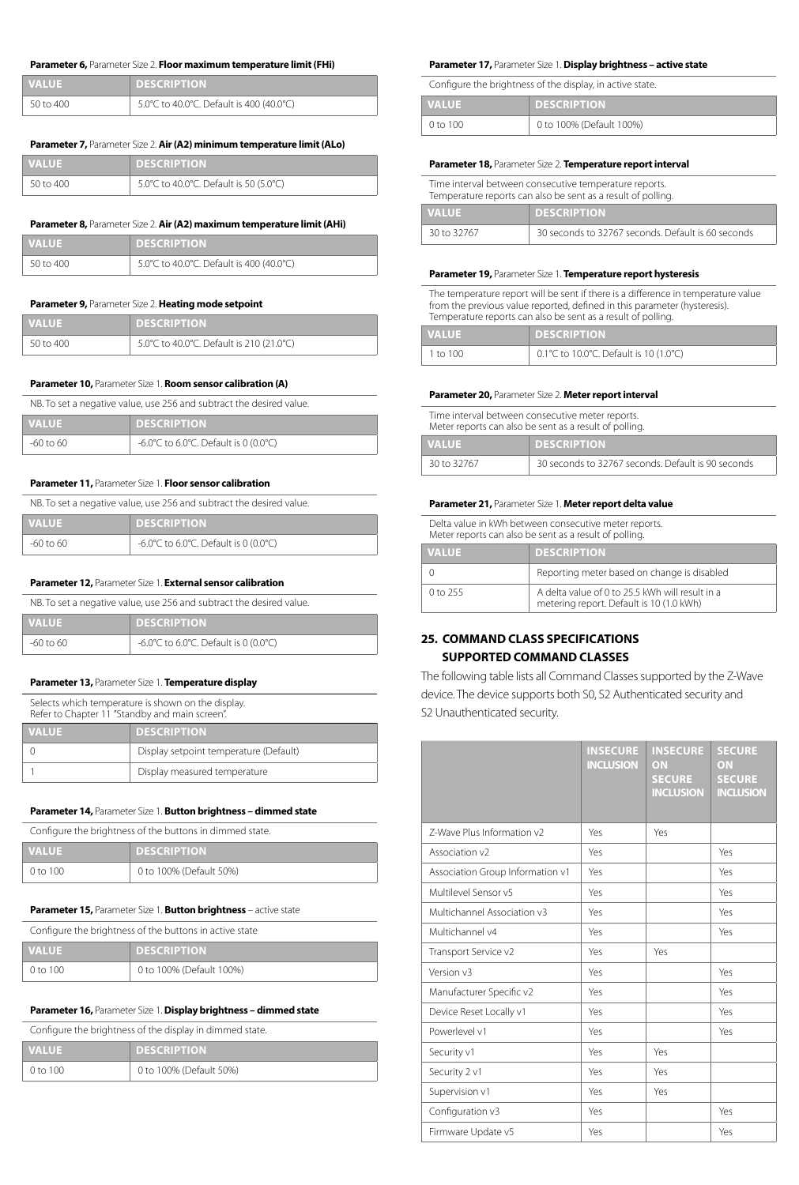#### **Parameter 6,** Parameter Size 2. **Floor maximum temperature limit (FHi)**

| <b>VALUE</b> | <b>DESCRIPTION</b>                       |
|--------------|------------------------------------------|
| 50 to 400    | 5.0°C to 40.0°C. Default is 400 (40.0°C) |

#### **Parameter 7,** Parameter Size 2. **Air (A2) minimum temperature limit (ALo)**

| <b>VALUE</b> | <b>DESCRIPTION</b>                     |
|--------------|----------------------------------------|
| 50 to 400    | 5.0°C to 40.0°C. Default is 50 (5.0°C) |

#### **Parameter 8,** Parameter Size 2. **Air (A2) maximum temperature limit (AHi)**

| <b>VALUE</b> | <b>DESCRIPTION</b>                       |
|--------------|------------------------------------------|
| 50 to 400    | 5.0°C to 40.0°C. Default is 400 (40.0°C) |

#### **Parameter 9,** Parameter Size 2. **Heating mode setpoint**

| <b>NALUE</b> | <b>DESCRIPTION</b>                       |
|--------------|------------------------------------------|
| 50 to 400    | 5.0°C to 40.0°C. Default is 210 (21.0°C) |

#### **Parameter 10,** Parameter Size 1. **Room sensor calibration (A)**

NB. To set a negative value, use 256 and subtract the desired value.

| <b>VALUE</b> | <b>DESCRIPTION</b>                    |
|--------------|---------------------------------------|
| -60 to 60    | -6.0°C to 6.0°C. Default is 0 (0.0°C) |

#### **Parameter 11,** Parameter Size 1. **Floor sensor calibration**

NB. To set a negative value, use 256 and subtract the desired value.

| <b>VALUE</b> | <b>DESCRIPTION</b>                    |
|--------------|---------------------------------------|
| -60 to 60    | -6.0°C to 6.0°C. Default is 0 (0.0°C) |

#### **Parameter 12,** Parameter Size 1. **External sensor calibration**

| NB. To set a negative value, use 256 and subtract the desired value. |                                       |
|----------------------------------------------------------------------|---------------------------------------|
| <b>VALUE</b>                                                         | <b>DESCRIPTION</b>                    |
| -60 to 60                                                            | -6.0°C to 6.0°C. Default is 0 (0.0°C) |

#### **Parameter 13,** Parameter Size 1. **Temperature display**

Selects which temperature is shown on the display.

| Refer to Chapter 11 "Standby and main screen". |                                        |
|------------------------------------------------|----------------------------------------|
| <b>VALUE</b>                                   | <b>DESCRIPTION</b>                     |
|                                                | Display setpoint temperature (Default) |
|                                                | Display measured temperature           |

#### **Parameter 14,** Parameter Size 1. **Button brightness – dimmed state**

| Configure the brightness of the buttons in dimmed state. |                         |
|----------------------------------------------------------|-------------------------|
| <b>VALUE</b>                                             | <b>DESCRIPTION</b>      |
| 0 to 100                                                 | 0 to 100% (Default 50%) |

#### **Parameter 15,** Parameter Size 1. **Button brightness** – active state

| Configure the brightness of the buttons in active state |  |
|---------------------------------------------------------|--|
|                                                         |  |

| <b>VALUE</b> | <b>DESCRIPTION</b>       |
|--------------|--------------------------|
| 0 to 100     | 0 to 100% (Default 100%) |

#### **Parameter 16,** Parameter Size 1.**Display brightness – dimmed state**

|                | Configure the brightness of the display in dimmed state. |
|----------------|----------------------------------------------------------|
| <b>I</b> VALUE | <b>DESCRIPTION</b>                                       |
| $0$ to $100$   | 0 to 100% (Default 50%)                                  |

#### **Parameter 17,** Parameter Size 1. **Display brightness – active state**

Configure the brightness of the display, in active state.

| <b>VALUE</b> | <b>DESCRIPTION</b>       |
|--------------|--------------------------|
| $0$ to $100$ | 0 to 100% (Default 100%) |

#### **Parameter 18,** Parameter Size 2. **Temperature report interval**

| Time interval between consecutive temperature reports.<br>Temperature reports can also be sent as a result of polling. |                                                    |
|------------------------------------------------------------------------------------------------------------------------|----------------------------------------------------|
| <b>VALUE</b>                                                                                                           | <b>DESCRIPTION</b>                                 |
| 30 to 32767                                                                                                            | 30 seconds to 32767 seconds. Default is 60 seconds |

#### **Parameter 19,** Parameter Size 1. **Temperature report hysteresis**

The temperature report will be sent if there is a difference in temperature value from the previous value reported, defined in this parameter (hysteresis). Temperature reports can also be sent as a result of polling.

| <b>VALUE</b> | <b>DESCRIPTION</b>                     |
|--------------|----------------------------------------|
| 1 to 100     | 0.1°C to 10.0°C. Default is 10 (1.0°C) |

#### **Parameter 20,** Parameter Size 2. **Meter report interval**

Time interval between consecutive meter reports.

| Meter reports can also be sent as a result of polling. |                                                    |  |
|--------------------------------------------------------|----------------------------------------------------|--|
| <b>VALUE</b>                                           | <b>DESCRIPTION</b>                                 |  |
| 30 to 32767                                            | 30 seconds to 32767 seconds. Default is 90 seconds |  |

#### **Parameter 21,** Parameter Size 1. **Meter report delta value**

Delta value in kWh between consecutive meter reports. Meter reports can also be sent as a result of polling.

| <b>VALUE</b> | <b>DESCRIPTION</b>                                                                          |
|--------------|---------------------------------------------------------------------------------------------|
|              | Reporting meter based on change is disabled                                                 |
| 0 to 255     | A delta value of 0 to 25.5 kWh will result in a<br>metering report. Default is 10 (1.0 kWh) |

#### **25. COMMAND CLASS SPECIFICATIONS SUPPORTED COMMAND CLASSES**

The following table lists all Command Classes supported by the Z-Wave device. The device supports both S0, S2 Authenticated security and S2 Unauthenticated security.

|                                  | <b>INSECURE</b><br><b>INCLUSION</b> | <b>INSECURE</b><br>ON<br><b>SECURE</b><br><b>INCLUSION</b> | <b>SECURE</b><br>ON<br><b>SECURE</b><br><b>INCLUSION</b> |
|----------------------------------|-------------------------------------|------------------------------------------------------------|----------------------------------------------------------|
| 7-Wave Plus Information v2       | Yes                                 | Yes                                                        |                                                          |
| Association v2                   | Yes                                 |                                                            | Yes                                                      |
| Association Group Information v1 | Yes                                 |                                                            | Yes                                                      |
| Multilevel Sensor v5             | Yes                                 |                                                            | Yes                                                      |
| Multichannel Association v3      | Yes                                 |                                                            | Yes                                                      |
| Multichannel v4                  | Yes                                 |                                                            | Yes                                                      |
| Transport Service v2             | Yes                                 | Yes                                                        |                                                          |
| Version v3                       | Yes                                 |                                                            | Yes                                                      |
| Manufacturer Specific v2         | Yes                                 |                                                            | Yes                                                      |
| Device Reset Locally v1          | Yes                                 |                                                            | Yes                                                      |
| Powerlevel v1                    | Yes                                 |                                                            | Yes                                                      |
| Security v1                      | Yes                                 | Yes                                                        |                                                          |
| Security 2 v1                    | Yes                                 | Yes                                                        |                                                          |
| Supervision v1                   | Yes                                 | Yes                                                        |                                                          |
| Configuration v3                 | Yes                                 |                                                            | Yes                                                      |
| Firmware Update v5               | Yes                                 |                                                            | Yes                                                      |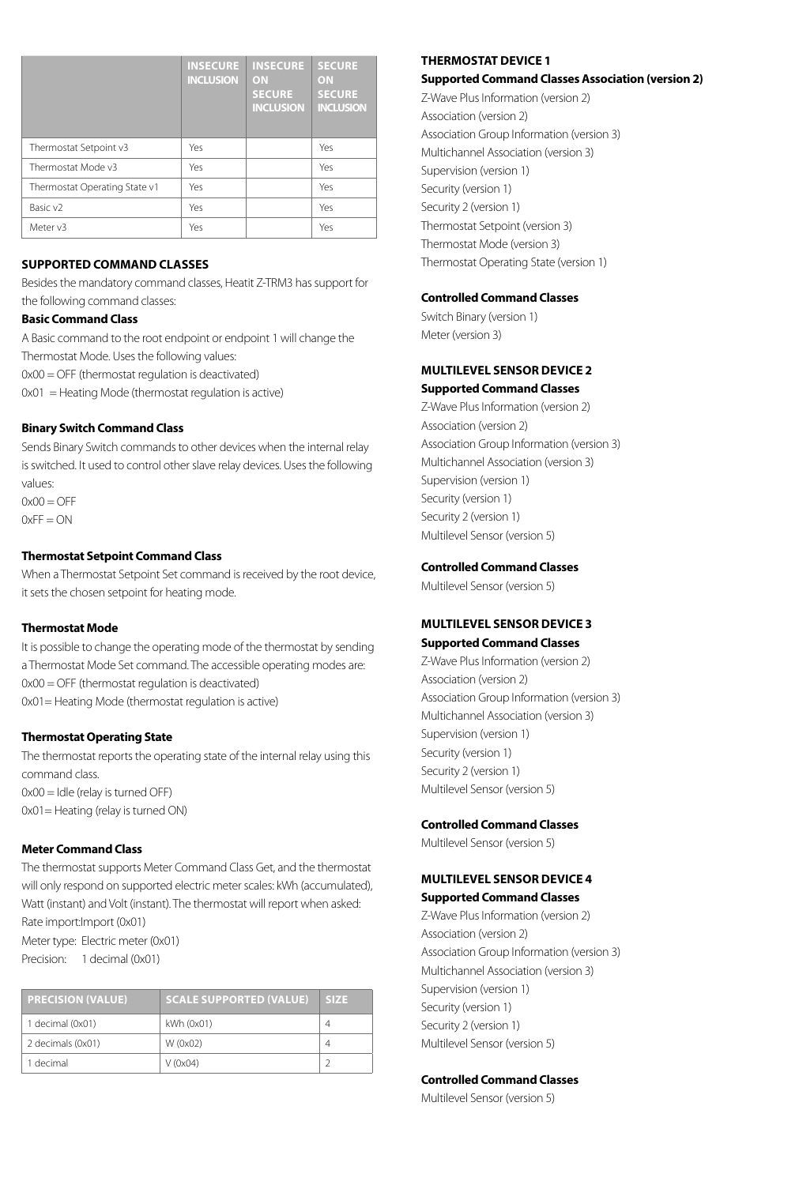|                               | <b>INSECURE</b><br><b>INCLUSION</b> | <b>INSECURE</b><br>ON<br><b>SECURE</b><br><b>INCLUSION</b> | <b>SECURE</b><br>ON<br><b>SECURE</b><br><b>INCLUSION</b> |
|-------------------------------|-------------------------------------|------------------------------------------------------------|----------------------------------------------------------|
| Thermostat Setpoint v3        | Yes                                 |                                                            | Yes                                                      |
| Thermostat Mode v3            | Yes                                 |                                                            | Yes                                                      |
| Thermostat Operating State v1 | Yes                                 |                                                            | Yes                                                      |
| Basic v <sub>2</sub>          | Yes                                 |                                                            | Yes                                                      |
| Meter v3                      | Yes                                 |                                                            | Yes                                                      |

#### **SUPPORTED COMMAND CLASSES**

Besides the mandatory command classes, Heatit Z-TRM3 has support for the following command classes:

#### **Basic Command Class**

A Basic command to the root endpoint or endpoint 1 will change the Thermostat Mode. Uses the following values: 0x00 = OFF (thermostat regulation is deactivated)  $0x01$  = Heating Mode (thermostat regulation is active)

**Binary Switch Command Class**

#### Sends Binary Switch commands to other devices when the internal relay is switched. It used to control other slave relay devices. Uses the following values:

 $0x00 = OFF$  $0xFF = ON$ 

#### **Thermostat Setpoint Command Class**

When a Thermostat Setpoint Set command is received by the root device, it sets the chosen setpoint for heating mode.

#### **Thermostat Mode**

It is possible to change the operating mode of the thermostat by sending a Thermostat Mode Set command. The accessible operating modes are: 0x00 = OFF (thermostat regulation is deactivated) 0x01= Heating Mode (thermostat regulation is active)

#### **Thermostat Operating State**

The thermostat reports the operating state of the internal relay using this command class. 0x00 = Idle (relay is turned OFF) 0x01= Heating (relay is turned ON)

#### **Meter Command Class**

The thermostat supports Meter Command Class Get, and the thermostat will only respond on supported electric meter scales: kWh (accumulated), Watt (instant) and Volt (instant). The thermostat will report when asked: Rate import:Import (0x01) Meter type: Electric meter (0x01) Precision: 1 decimal (0x01)

| <b>PRECISION (VALUE)</b> | <b>SCALE SUPPORTED (VALUE)</b> | <b>SIZE</b> |
|--------------------------|--------------------------------|-------------|
| 1 decimal (0x01)         | kWh (0x01)                     | 4           |
| 2 decimals (0x01)        | W (0x02)                       | 4           |
| 1 decimal                | $V$ (0x04)                     |             |

#### **THERMOSTAT DEVICE 1**

#### **Supported Command Classes Association (version 2)**

Z-Wave Plus Information (version 2) Association (version 2) Association Group Information (version 3) Multichannel Association (version 3) Supervision (version 1) Security (version 1) Security 2 (version 1) Thermostat Setpoint (version 3) Thermostat Mode (version 3) Thermostat Operating State (version 1)

#### **Controlled Command Classes**

Switch Binary (version 1) Meter (version 3)

#### **MULTILEVEL SENSOR DEVICE 2 Supported Command Classes**

Z-Wave Plus Information (version 2) Association (version 2) Association Group Information (version 3) Multichannel Association (version 3) Supervision (version 1) Security (version 1) Security 2 (version 1) Multilevel Sensor (version 5)

#### **Controlled Command Classes**

Multilevel Sensor (version 5)

#### **MULTILEVEL SENSOR DEVICE 3 Supported Command Classes**

Z-Wave Plus Information (version 2) Association (version 2) Association Group Information (version 3) Multichannel Association (version 3) Supervision (version 1) Security (version 1) Security 2 (version 1) Multilevel Sensor (version 5)

#### **Controlled Command Classes**

Multilevel Sensor (version 5)

#### **MULTILEVEL SENSOR DEVICE 4 Supported Command Classes**

Z-Wave Plus Information (version 2) Association (version 2) Association Group Information (version 3) Multichannel Association (version 3) Supervision (version 1) Security (version 1) Security 2 (version 1) Multilevel Sensor (version 5)

#### **Controlled Command Classes**

Multilevel Sensor (version 5)